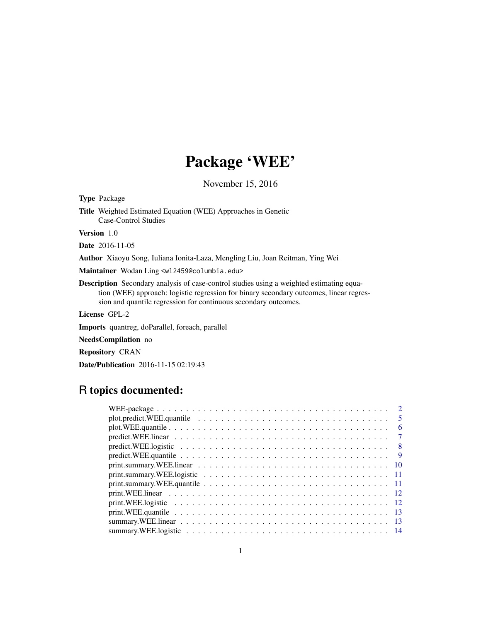## Package 'WEE'

November 15, 2016

<span id="page-0-0"></span>

| <b>Type Package</b>                                                                                                                                                                                                                                          |
|--------------------------------------------------------------------------------------------------------------------------------------------------------------------------------------------------------------------------------------------------------------|
| <b>Title</b> Weighted Estimated Equation (WEE) Approaches in Genetic<br>Case-Control Studies                                                                                                                                                                 |
| <b>Version</b> 1.0                                                                                                                                                                                                                                           |
| <b>Date</b> 2016-11-05                                                                                                                                                                                                                                       |
| <b>Author</b> Xiaoyu Song, Iuliana Ionita-Laza, Mengling Liu, Joan Reitman, Ying Wei                                                                                                                                                                         |
| Maintainer Wodan Ling <w12459@columbia.edu></w12459@columbia.edu>                                                                                                                                                                                            |
| <b>Description</b> Secondary analysis of case-control studies using a weighted estimating equa-<br>tion (WEE) approach: logistic regression for binary secondary outcomes, linear regres-<br>sion and quantile regression for continuous secondary outcomes. |
| License GPL-2                                                                                                                                                                                                                                                |
| <b>Imports</b> quantreg, doParallel, foreach, parallel                                                                                                                                                                                                       |
|                                                                                                                                                                                                                                                              |

NeedsCompilation no

Repository CRAN

Date/Publication 2016-11-15 02:19:43

### R topics documented:

| $\overline{2}$                                                                                                                          |
|-----------------------------------------------------------------------------------------------------------------------------------------|
| $\sqrt{5}$                                                                                                                              |
| - 6                                                                                                                                     |
| $predict.WEE. linear \dots \dots \dots \dots \dots \dots \dots \dots \dots \dots \dots \dots \dots \dots \dots \dots$<br>$\overline{7}$ |
| $predict.WEE.logistic                   $<br>- 8                                                                                        |
|                                                                                                                                         |
|                                                                                                                                         |
| print.summary.WEE.logistic $\ldots \ldots \ldots \ldots \ldots \ldots \ldots \ldots \ldots \ldots \ldots \ldots \ldots 11$              |
|                                                                                                                                         |
|                                                                                                                                         |
|                                                                                                                                         |
|                                                                                                                                         |
|                                                                                                                                         |
|                                                                                                                                         |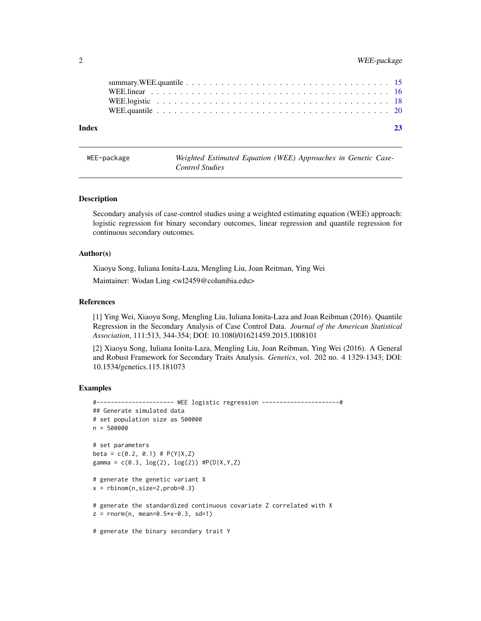#### <span id="page-1-0"></span>2 WEE-package

| Index | 23 |
|-------|----|
|       |    |
|       |    |
|       |    |
|       |    |

| WEE-package |                 |  | Weighted Estimated Equation (WEE) Approaches in Genetic Case- |  |  |
|-------------|-----------------|--|---------------------------------------------------------------|--|--|
|             | Control Studies |  |                                                               |  |  |

#### Description

Secondary analysis of case-control studies using a weighted estimating equation (WEE) approach: logistic regression for binary secondary outcomes, linear regression and quantile regression for continuous secondary outcomes.

#### Author(s)

Xiaoyu Song, Iuliana Ionita-Laza, Mengling Liu, Joan Reitman, Ying Wei

Maintainer: Wodan Ling <wl2459@columbia.edu>

#### References

[1] Ying Wei, Xiaoyu Song, Mengling Liu, Iuliana Ionita-Laza and Joan Reibman (2016). Quantile Regression in the Secondary Analysis of Case Control Data. *Journal of the American Statistical Association*, 111:513, 344-354; DOI: 10.1080/01621459.2015.1008101

[2] Xiaoyu Song, Iuliana Ionita-Laza, Mengling Liu, Joan Reibman, Ying Wei (2016). A General and Robust Framework for Secondary Traits Analysis. *Genetics*, vol. 202 no. 4 1329-1343; DOI: 10.1534/genetics.115.181073

#### Examples

```
#---------------------- WEE logistic regression ----------------------#
## Generate simulated data
# set population size as 500000
n = 500000
# set parameters
beta = c(0.2, 0.1) # P(Y|X,Z)gamma = c(0.3, \log(2), \log(2)) #P(D|X,Y,Z)
# generate the genetic variant X
x = rbinom(n, size=2, prob=0.3)
# generate the standardized continuous covariate Z correlated with X
z = rnorm(n, mean=0.5*x-0.3, sd=1)# generate the binary secondary trait Y
```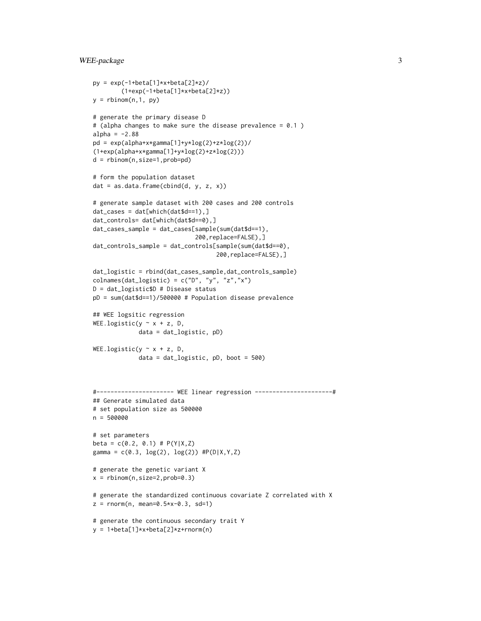#### WEE-package 3

```
py = exp(-1 + beta[1] * x + beta[2] * z)/
        (1+exp(-1+beta[1]*x+beta[2]*z))
y = rbinom(n, 1, py)# generate the primary disease D
# (alpha changes to make sure the disease prevalence = 0.1)
alpha = -2.88pd = exp(alpha+x*gamma[1]+y*log(2)+z*log(2))/(1+exp(alpha+x*gamma[1]+y*log(2)+z*log(2)))
d = rbinom(n,size=1,prob=pd)
# form the population dataset
dat = as.data.frame(cbind(d, y, z, x))
# generate sample dataset with 200 cases and 200 controls
dat_cases = dat[which(dat$d==1),]
dat_controls= dat[which(dat$d==0),]
dat_cases_sample = dat_cases[sample(sum(dat$d==1),
                             200,replace=FALSE),]
dat_controls_sample = dat_controls[sample(sum(dat$d==0),
                                   200,replace=FALSE),]
dat_logistic = rbind(dat_cases_sample,dat_controls_sample)
colnames(dat_logistic) = c("D", "y", "z", "x")D = dat_logistic$D # Disease status
pD = sum(dat$d==1)/500000 # Population disease prevalence
## WEE logsitic regression
WEE.logistic(y \sim x + z, D,
             data = dat_logistic, pD)
WEE.logistic(y \sim x + z, D,
             data = dat_logistic, pD, boot = 500)
#---------------------- WEE linear regression ----------------------#
## Generate simulated data
# set population size as 500000
n = 500000
# set parameters
beta = c(0.2, 0.1) # P(Y|X,Z)gamma = c(0.3, \log(2), \log(2)) #P(D|X,Y,Z)
# generate the genetic variant X
x = rbinom(n, size=2, prob=0.3)
# generate the standardized continuous covariate Z correlated with X
z = rnorm(n, mean=0.5*x-0.3, sd=1)# generate the continuous secondary trait Y
y = 1+beta[1]*x+beta[2]*z+rnorm(n)
```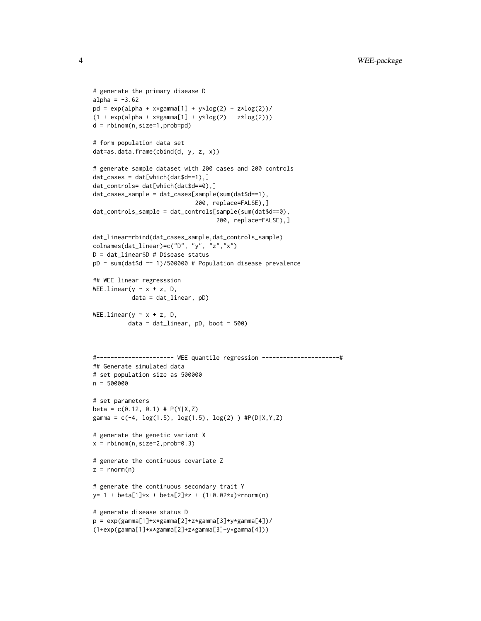```
# generate the primary disease D
alpha = -3.62pd = exp(alpha + x*gamma[1] + y*log(2) + z*log(2))/(1 + \exp(\text{alpha} + x \cdot \text{gamma}[1] + y \cdot \log(2) + z \cdot \log(2)))d = rbinom(n,size=1,prob=pd)
# form population data set
dat=as.data.frame(cbind(d, y, z, x))
# generate sample dataset with 200 cases and 200 controls
dat_cases = dat[which(dat$d==1),]
dat_controls= dat[which(dat$d==0),]
dat_cases_sample = dat_cases[sample(sum(dat$d==1),
                              200, replace=FALSE),]
dat_controls_sample = dat_controls[sample(sum(dat$d==0),
                                    200, replace=FALSE),]
dat_linear=rbind(dat_cases_sample,dat_controls_sample)
colnames(dat_linear)=c("D", "y", "z","x")
D = dat_linear$D # Disease status
pD = sum(data $d == 1)/500000 # Population disease prevalence## WEE linear regresssion
WEE.linear(y \sim x + z, D,
           data = dat_linear, pD)
WEE.linear(y \sim x + z, D,
          data = dat_linear, pD, boot = 500)
#---------------------- WEE quantile regression ----------------------#
## Generate simulated data
# set population size as 500000
n = 500000
# set parameters
beta = c(0.12, 0.1) # P(Y|X,Z)gamma = c(-4, \log(1.5), \log(1.5), \log(2)) #P(D|X,Y,Z)
# generate the genetic variant X
x = rbinom(n,size=2,prob=0.3)
# generate the continuous covariate Z
z = rnorm(n)# generate the continuous secondary trait Y
y= 1 + \text{beta}[1]*x + \text{beta}[2]*z + (1+0.02+x)*rnorm(n)# generate disease status D
p = exp(gamma[1]+x*gamma[2]+z*gamma[3]+y*gamma[4])/
(1+exp(gamma[1]+x*gamma[2]+z*gamma[3]+y*gamma[4]))
```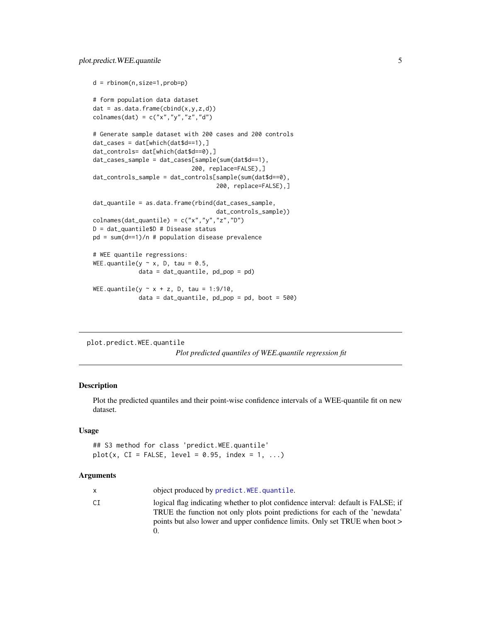```
d = rbinom(n,size=1,prob=p)
# form population data dataset
dat = as.data-frame(cbind(x,y,z,d))colnames(dat) = c("x", "y", "z", "d")# Generate sample dataset with 200 cases and 200 controls
dat_cases = dat[which(dat$d==1),]
dat_controls= dat[which(dat$d==0),]
dat_cases_sample = dat_cases[sample(sum(dat$d==1),
                            200, replace=FALSE),]
dat_controls_sample = dat_controls[sample(sum(dat$d==0),
                                   200, replace=FALSE),]
dat_quantile = as.data.frame(rbind(dat_cases_sample,
                                   dat_controls_sample))
colnames(dat_quantile) = c("x","y","z","D")
D = dat_quantile$D # Disease status
pd = sum(d==1)/n # population disease prevalence
# WEE quantile regressions:
WEE.quantile(y \sim x, D, tau = 0.5,
             data = dat_quantile, pd_pop = pd)
WEE.quantile(y \sim x + z, D, tau = 1:9/10,
             data = dat_quantile, pd\_pop = pd, boot = 500)
```
plot.predict.WEE.quantile

*Plot predicted quantiles of WEE.quantile regression fit*

#### Description

Plot the predicted quantiles and their point-wise confidence intervals of a WEE-quantile fit on new dataset.

#### Usage

## S3 method for class 'predict.WEE.quantile'  $plot(x, CI = FALSE, level = 0.95, index = 1, ...)$ 

#### Arguments

|    | object produced by predict. WEE, quantile.                                                                                                                                                                                                        |
|----|---------------------------------------------------------------------------------------------------------------------------------------------------------------------------------------------------------------------------------------------------|
| СI | logical flag indicating whether to plot confidence interval: default is FALSE; if<br>TRUE the function not only plots point predictions for each of the 'newdata'<br>points but also lower and upper confidence limits. Only set TRUE when boot > |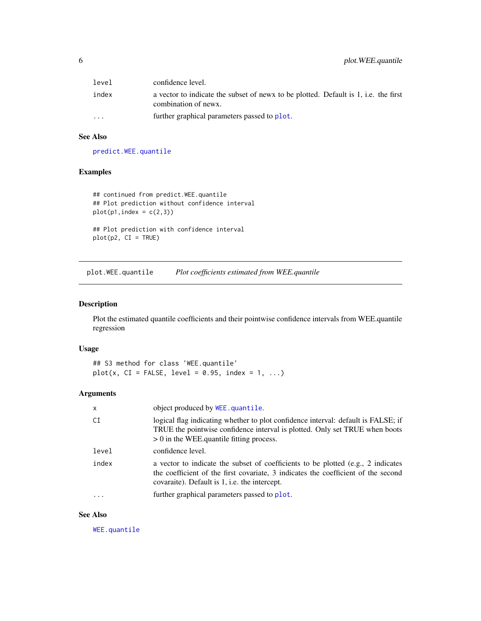<span id="page-5-0"></span>

| level                   | confidence level.                                                                                           |
|-------------------------|-------------------------------------------------------------------------------------------------------------|
| index                   | a vector to indicate the subset of news to be plotted. Default is 1, i.e. the first<br>combination of news. |
| $\cdot$ $\cdot$ $\cdot$ | further graphical parameters passed to plot.                                                                |

#### See Also

[predict.WEE.quantile](#page-8-1)

#### Examples

```
## continued from predict.WEE.quantile
## Plot prediction without confidence interval
plot(p1,index = c(2,3))## Plot prediction with confidence interval
```
plot(p2, CI = TRUE)

plot.WEE.quantile *Plot coefficients estimated from WEE.quantile*

#### Description

Plot the estimated quantile coefficients and their pointwise confidence intervals from WEE.quantile regression

#### Usage

## S3 method for class 'WEE.quantile'  $plot(x, CI = FALSE, level = 0.95, index = 1, ...)$ 

#### Arguments

| x     | object produced by WEE.quantile.                                                                                                                                                                                       |
|-------|------------------------------------------------------------------------------------------------------------------------------------------------------------------------------------------------------------------------|
| СI    | logical flag indicating whether to plot confidence interval: default is FALSE; if<br>TRUE the pointwise confidence interval is plotted. Only set TRUE when boots<br>$> 0$ in the WEE quantile fitting process.         |
| level | confidence level.                                                                                                                                                                                                      |
| index | a vector to indicate the subset of coefficients to be plotted (e.g., 2 indicates<br>the coefficient of the first covariate, 3 indicates the coefficient of the second<br>covaraite). Default is 1, i.e. the intercept. |
|       | further graphical parameters passed to plot.                                                                                                                                                                           |

#### See Also

[WEE.quantile](#page-19-1)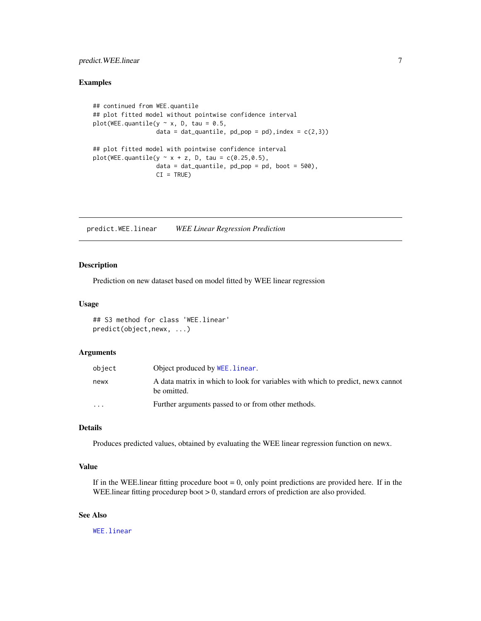#### <span id="page-6-0"></span>predict. WEE. linear 7

#### Examples

```
## continued from WEE.quantile
## plot fitted model without pointwise confidence interval
plot(WEE.quantile(y \sim x, D, tau = 0.5,
                  data = dat_quantile, pd_pop = pd), index = c(2,3))
## plot fitted model with pointwise confidence interval
plot(WEE.quantile(y \sim x + z, D, tau = c(0.25,0.5),
                  data = dat_quantile, pd\_pop = pd, boot = 500,
                  CI = TRUE
```
predict.WEE.linear *WEE Linear Regression Prediction*

#### Description

Prediction on new dataset based on model fitted by WEE linear regression

#### Usage

## S3 method for class 'WEE.linear' predict(object,newx, ...)

#### Arguments

| object                  | Object produced by WEE, linear.                                                                 |
|-------------------------|-------------------------------------------------------------------------------------------------|
| newx                    | A data matrix in which to look for variables with which to predict, new x cannot<br>be omitted. |
| $\cdot$ $\cdot$ $\cdot$ | Further arguments passed to or from other methods.                                              |

#### Details

Produces predicted values, obtained by evaluating the WEE linear regression function on newx.

#### Value

If in the WEE. linear fitting procedure boot  $= 0$ , only point predictions are provided here. If in the WEE.linear fitting procedurep boot > 0, standard errors of prediction are also provided.

#### See Also

[WEE.linear](#page-15-1)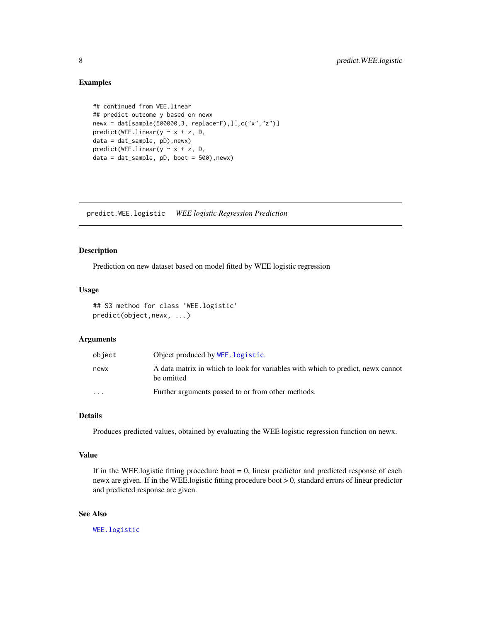#### Examples

```
## continued from WEE.linear
## predict outcome y based on newx
newx = dat[sample(500000,3, replace=F),][,c("x","z")]
predict(WEE.linear(y \sim x + z, D,
data = dat_sample, pD),newx)
predict(WEEu in ear(y ~ x + z, D,data = dat_sample, pD, boot = 500),newx)
```
predict.WEE.logistic *WEE logistic Regression Prediction*

#### Description

Prediction on new dataset based on model fitted by WEE logistic regression

#### Usage

```
## S3 method for class 'WEE.logistic'
predict(object,newx, ...)
```
#### Arguments

| object    | Object produced by WEE. logistic.                                                              |
|-----------|------------------------------------------------------------------------------------------------|
| newx      | A data matrix in which to look for variables with which to predict, new x cannot<br>be omitted |
| $\ddotsc$ | Further arguments passed to or from other methods.                                             |

#### Details

Produces predicted values, obtained by evaluating the WEE logistic regression function on newx.

#### Value

If in the WEE.logistic fitting procedure boot  $= 0$ , linear predictor and predicted response of each newx are given. If in the WEE.logistic fitting procedure boot > 0, standard errors of linear predictor and predicted response are given.

#### See Also

[WEE.logistic](#page-17-1)

<span id="page-7-0"></span>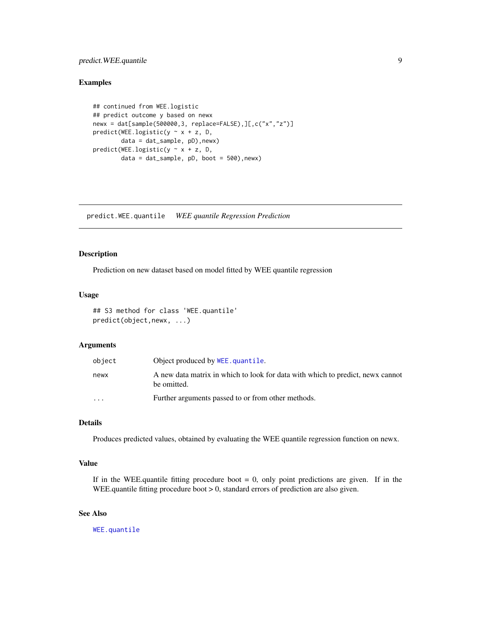#### <span id="page-8-0"></span>predict. WEE. quantile 9

#### Examples

```
## continued from WEE.logistic
## predict outcome y based on newx
newx = dat[sample(500000,3, replace=FALSE),][,c("x","z")]
predict(WEE.logistic(y \sim x + z, D,
        data = dat_sample, pD),newx)
predict(WEE.logistic(y ~ x + z, D,
        data = dat_sample, pD, boot = 500),newx)
```
<span id="page-8-1"></span>predict.WEE.quantile *WEE quantile Regression Prediction*

#### Description

Prediction on new dataset based on model fitted by WEE quantile regression

#### Usage

## S3 method for class 'WEE.quantile' predict(object,newx, ...)

#### Arguments

| object    | Object produced by WEE, quantile.                                                             |
|-----------|-----------------------------------------------------------------------------------------------|
| newx      | A new data matrix in which to look for data with which to predict, news cannot<br>be omitted. |
| $\ddotsc$ | Further arguments passed to or from other methods.                                            |

#### Details

Produces predicted values, obtained by evaluating the WEE quantile regression function on newx.

#### Value

If in the WEE.quantile fitting procedure boot  $= 0$ , only point predictions are given. If in the WEE.quantile fitting procedure boot > 0, standard errors of prediction are also given.

#### See Also

[WEE.quantile](#page-19-1)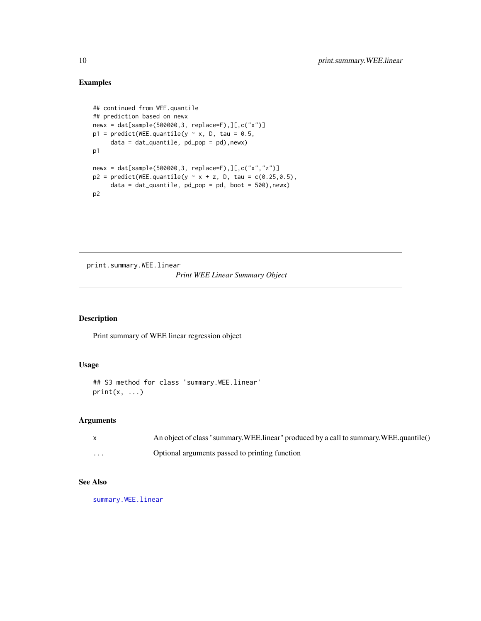#### Examples

```
## continued from WEE.quantile
## prediction based on newx
newx = dat[sample(500000,3, replace=F),][,c("x")]
p1 = predict(WEE.quantile(y \sim x, D, tau = 0.5,data = dat_quantile, pd_pop = pd),newx)
p1
newx = dat[sample(500000,3, replace=F),][,c("x","z")]
p2 = predict(WEE, quantile(y \sim x + z, D, tau = c(0.25, 0.5)),data = dat_quantile, pd\_pop = pd, boot = 500), newx)p2
```
print.summary.WEE.linear

#### *Print WEE Linear Summary Object*

#### Description

Print summary of WEE linear regression object

#### Usage

```
## S3 method for class 'summary.WEE.linear'
print(x, \ldots)
```
#### Arguments

|          | An object of class "summary. WEE. linear" produced by a call to summary. WEE. quantile() |
|----------|------------------------------------------------------------------------------------------|
| $\cdots$ | Optional arguments passed to printing function                                           |

#### See Also

[summary.WEE.linear](#page-12-1)

<span id="page-9-0"></span>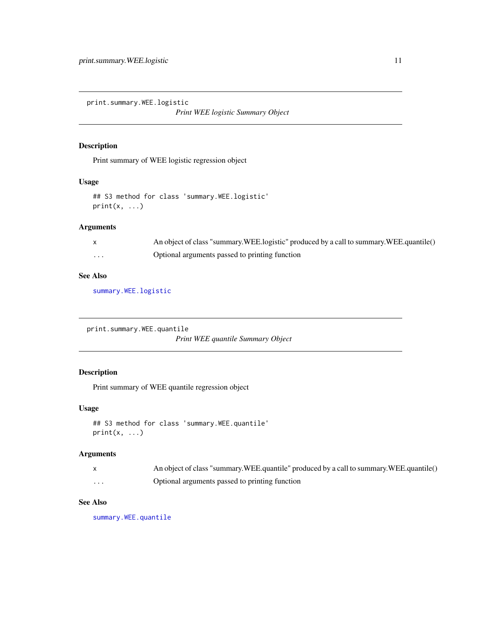<span id="page-10-0"></span>print.summary.WEE.logistic

*Print WEE logistic Summary Object*

#### Description

Print summary of WEE logistic regression object

#### Usage

```
## S3 method for class 'summary.WEE.logistic'
print(x, ...)
```
#### Arguments

|                         | An object of class "summary. WEE.logistic" produced by a call to summary. WEE.quantile() |
|-------------------------|------------------------------------------------------------------------------------------|
| $\cdot$ $\cdot$ $\cdot$ | Optional arguments passed to printing function                                           |

#### See Also

[summary.WEE.logistic](#page-13-1)

print.summary.WEE.quantile

*Print WEE quantile Summary Object*

### Description

Print summary of WEE quantile regression object

#### Usage

```
## S3 method for class 'summary.WEE.quantile'
print(x, \ldots)
```
#### Arguments

|          | An object of class "summary. WEE. quantile" produced by a call to summary. WEE. quantile() |
|----------|--------------------------------------------------------------------------------------------|
| $\cdots$ | Optional arguments passed to printing function                                             |

#### See Also

[summary.WEE.quantile](#page-14-1)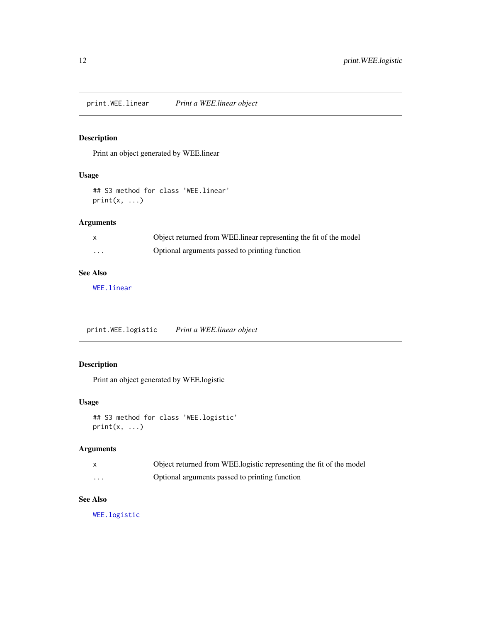<span id="page-11-0"></span>print.WEE.linear *Print a WEE.linear object*

#### Description

Print an object generated by WEE.linear

#### Usage

```
## S3 method for class 'WEE.linear'
print(x, \ldots)
```
#### Arguments

|                   | Object returned from WEE.linear representing the fit of the model |
|-------------------|-------------------------------------------------------------------|
| $\cdot\cdot\cdot$ | Optional arguments passed to printing function                    |

#### See Also

[WEE.linear](#page-15-1)

print.WEE.logistic *Print a WEE.linear object*

#### Description

Print an object generated by WEE.logistic

#### Usage

```
## S3 method for class 'WEE.logistic'
print(x, \ldots)
```
#### Arguments

|                         | Object returned from WEE.logistic representing the fit of the model |
|-------------------------|---------------------------------------------------------------------|
| $\cdot$ $\cdot$ $\cdot$ | Optional arguments passed to printing function                      |

#### See Also

[WEE.logistic](#page-17-1)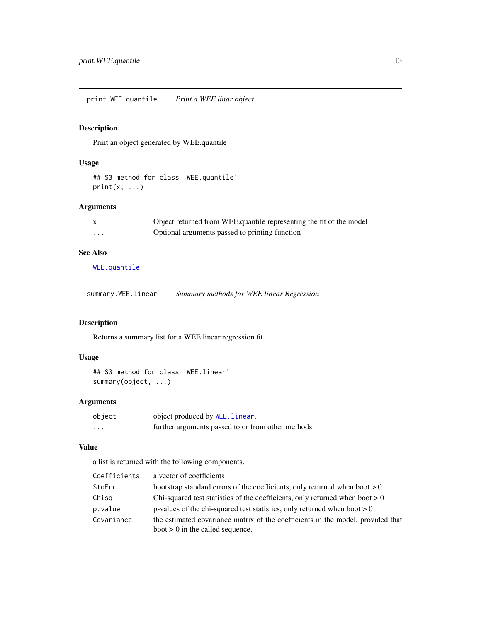<span id="page-12-0"></span>print.WEE.quantile *Print a WEE.linar object*

#### Description

Print an object generated by WEE.quantile

#### Usage

## S3 method for class 'WEE.quantile'  $print(x, \ldots)$ 

### Arguments

| $\mathsf{X}$ | Object returned from WEE quantile representing the fit of the model |
|--------------|---------------------------------------------------------------------|
| .            | Optional arguments passed to printing function                      |

#### See Also

[WEE.quantile](#page-19-1)

<span id="page-12-1"></span>summary.WEE.linear *Summary methods for WEE linear Regression*

#### Description

Returns a summary list for a WEE linear regression fit.

#### Usage

```
## S3 method for class 'WEE.linear'
summary(object, ...)
```
#### Arguments

| object | object produced by WEE. linear.                    |
|--------|----------------------------------------------------|
| .      | further arguments passed to or from other methods. |

#### Value

a list is returned with the following components.

| Coefficients | a vector of coefficients                                                                                              |
|--------------|-----------------------------------------------------------------------------------------------------------------------|
| StdErr       | bootstrap standard errors of the coefficients, only returned when boot $> 0$                                          |
| Chisg        | Chi-squared test statistics of the coefficients, only returned when boot $> 0$                                        |
| p.value      | p-values of the chi-squared test statistics, only returned when boot $> 0$                                            |
| Covariance   | the estimated covariance matrix of the coefficients in the model, provided that<br>boot $> 0$ in the called sequence. |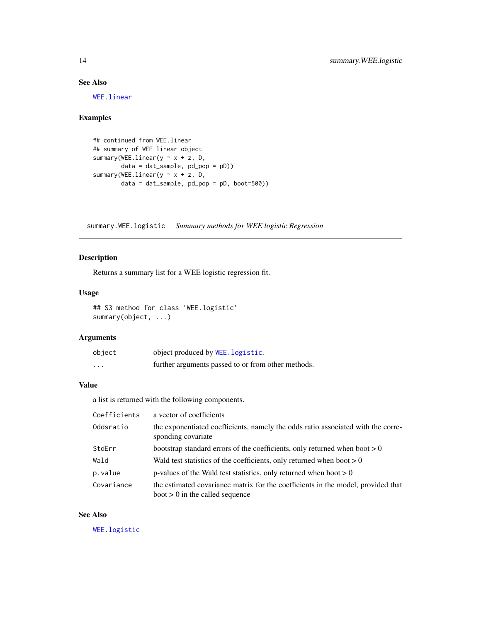#### See Also

[WEE.linear](#page-15-1)

#### Examples

```
## continued from WEE.linear
## summary of WEE linear object
summary(WEE.linear(y ~ x + z, D,
       data = dat_sample, pd_pop = pD))
summary(WEE.linear(y \sim x + z, D,
        data = dat_sample, pd_pop = pD, boot=500))
```
<span id="page-13-1"></span>summary.WEE.logistic *Summary methods for WEE logistic Regression*

#### Description

Returns a summary list for a WEE logistic regression fit.

#### Usage

```
## S3 method for class 'WEE.logistic'
summary(object, ...)
```
#### Arguments

| object   | object produced by WEE. logistic.                  |
|----------|----------------------------------------------------|
| $\cdots$ | further arguments passed to or from other methods. |

#### Value

a list is returned with the following components.

| Coefficients | a vector of coefficients                                                                                              |
|--------------|-----------------------------------------------------------------------------------------------------------------------|
| Oddsratio    | the exponentiated coefficients, namely the odds ratio associated with the corre-<br>sponding covariate                |
| StdErr       | bootstrap standard errors of the coefficients, only returned when boot $> 0$                                          |
| Wald         | Wald test statistics of the coefficients, only returned when boot $> 0$                                               |
| p.value      | p-values of the Wald test statistics, only returned when boot $> 0$                                                   |
| Covariance   | the estimated covariance matrix for the coefficients in the model, provided that<br>boot $> 0$ in the called sequence |

#### See Also

[WEE.logistic](#page-17-1)

<span id="page-13-0"></span>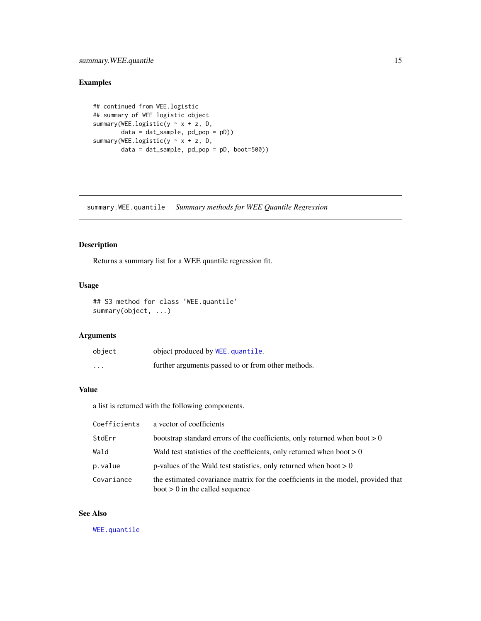#### <span id="page-14-0"></span>summary. WEE. quantile 15

#### Examples

```
## continued from WEE.logistic
## summary of WEE logistic object
summary(WEE.logistic(y ~ x + z, D,
       data = dat_sample, pd_pop = pD))
summary(WEE.logistic(y ~ x + z, D,
       data = dat_sample, pd_pop = pD, boot=500))
```
<span id="page-14-1"></span>summary.WEE.quantile *Summary methods for WEE Quantile Regression*

#### Description

Returns a summary list for a WEE quantile regression fit.

#### Usage

```
## S3 method for class 'WEE.quantile'
summary(object, ...)
```
#### Arguments

| object   | object produced by WEE.quantile.                   |
|----------|----------------------------------------------------|
| $\cdots$ | further arguments passed to or from other methods. |

#### Value

a list is returned with the following components.

| Coefficients | a vector of coefficients                                                                                              |
|--------------|-----------------------------------------------------------------------------------------------------------------------|
| StdErr       | bootstrap standard errors of the coefficients, only returned when boot $> 0$                                          |
| Wald         | Wald test statistics of the coefficients, only returned when boot $> 0$                                               |
| p.value      | p-values of the Wald test statistics, only returned when boot $> 0$                                                   |
| Covariance   | the estimated covariance matrix for the coefficients in the model, provided that<br>$boot > 0$ in the called sequence |

#### See Also

[WEE.quantile](#page-19-1)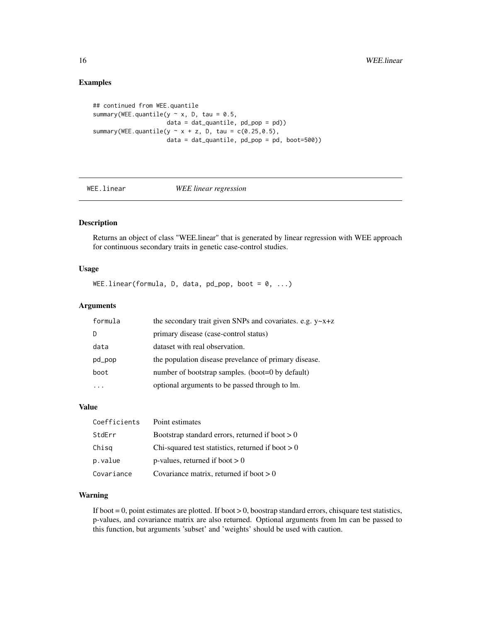#### Examples

```
## continued from WEE.quantile
summary(WEE.quantile(y \sim x, D, tau = 0.5,
                     data = dat_quantile, pd\_pop = pd)summary(WEE.quantile(y \sim x + z, D, tau = c(0.25,0.5),
                     data = dat_quantile, pd_pop = pd, boot=500))
```
#### <span id="page-15-1"></span>WEE.linear *WEE linear regression*

#### Description

Returns an object of class "WEE.linear" that is generated by linear regression with WEE approach for continuous secondary traits in genetic case-control studies.

#### Usage

WEE.linear(formula, D, data, pd\_pop, boot =  $0, ...$ )

#### Arguments

| formula | the secondary trait given SNPs and covariates. e.g. $y \sim x + z$ |
|---------|--------------------------------------------------------------------|
| D       | primary disease (case-control status)                              |
| data    | dataset with real observation.                                     |
| pd_pop  | the population disease prevelance of primary disease.              |
| boot    | number of bootstrap samples. (boot=0 by default)                   |
|         | optional arguments to be passed through to lm.                     |

#### Value

| Coefficients | Point estimates                                     |
|--------------|-----------------------------------------------------|
| StdErr       | Bootstrap standard errors, returned if boot $> 0$   |
| Chisg        | Chi-squared test statistics, returned if boot $> 0$ |
| p.value      | p-values, returned if boot $> 0$                    |
| Covariance   | Covariance matrix, returned if boot $> 0$           |

#### Warning

If boot = 0, point estimates are plotted. If boot > 0, boostrap standard errors, chisquare test statistics, p-values, and covariance matrix are also returned. Optional arguments from lm can be passed to this function, but arguments 'subset' and 'weights' should be used with caution.

<span id="page-15-0"></span>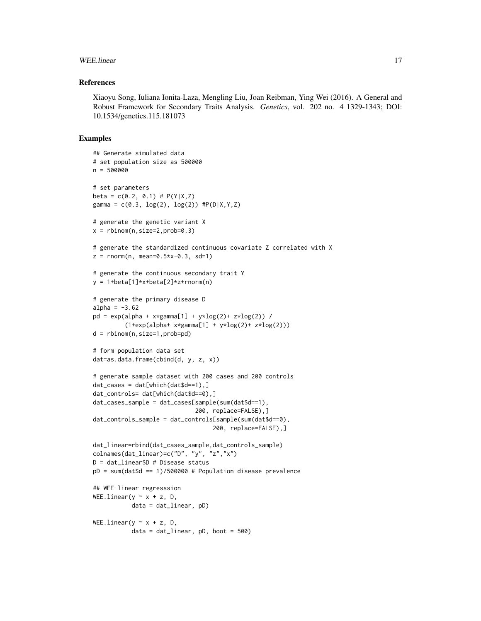#### WEE.linear 17

#### References

Xiaoyu Song, Iuliana Ionita-Laza, Mengling Liu, Joan Reibman, Ying Wei (2016). A General and Robust Framework for Secondary Traits Analysis. *Genetics*, vol. 202 no. 4 1329-1343; DOI: 10.1534/genetics.115.181073

#### Examples

```
## Generate simulated data
# set population size as 500000
n = 500000# set parameters
beta = c(0.2, 0.1) # P(Y|X,Z)gamma = c(0.3, \log(2), \log(2)) #P(D|X,Y,Z)
# generate the genetic variant X
x = rbinom(n, size=2, prob=0.3)
# generate the standardized continuous covariate Z correlated with X
z = \text{norm}(n, \text{mean=0.5} \times x - 0.3, \text{sd=1})# generate the continuous secondary trait Y
y = 1 + \beta \text{eta}[1] \cdot x + \beta \text{eta}[2] \cdot z + \text{rnorm}(n)# generate the primary disease D
alpha = -3.62pd = exp(alpha + x*gamma[1] + y*log(2) + z*log(2)) /
          (1+exp(alpha + x *gamma)[1] + y * log(2) + z * log(2)))d = rbinom(n,size=1,prob=pd)
# form population data set
dat=as.data.frame(cbind(d, y, z, x))
# generate sample dataset with 200 cases and 200 controls
dat\_cases = dat[which(data$d==1),]dat_controls= dat[which(dat$d==0),]
dat_cases_sample = dat_cases[sample(sum(dat$d==1),
                               200, replace=FALSE),]
dat_controls_sample = dat_controls[sample(sum(dat$d==0),
                                     200, replace=FALSE),]
dat_linear=rbind(dat_cases_sample,dat_controls_sample)
colnames(dat_linear)=c("D", "y", "z","x")
D = dat_linear$D # Disease status
pD = sum(data $d == 1)/500000 # Population disease prevalence## WEE linear regresssion
WEE.linear(y \sim x + z, D,
           data = dat_linear, pD)
WEE.linear(y \sim x + z, D,
            data = dat\_linear, pD, boot = 500)
```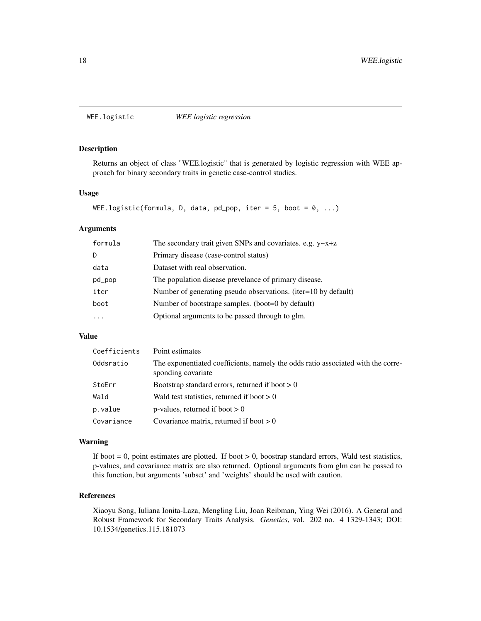<span id="page-17-1"></span><span id="page-17-0"></span>WEE.logistic *WEE logistic regression*

#### Description

Returns an object of class "WEE.logistic" that is generated by logistic regression with WEE approach for binary secondary traits in genetic case-control studies.

#### Usage

```
WEE.logistic(formula, D, data, pd_pop, iter = 5, boot = 0, ...)
```
#### Arguments

| formula | The secondary trait given SNPs and covariates. e.g. $y \sim x + z$ |
|---------|--------------------------------------------------------------------|
| D.      | Primary disease (case-control status)                              |
| data    | Dataset with real observation.                                     |
| pd_pop  | The population disease prevelance of primary disease.              |
| iter    | Number of generating pseudo observations. (iter=10 by default)     |
| boot    | Number of bootstrape samples. (boot=0 by default)                  |
|         | Optional arguments to be passed through to glm.                    |

#### Value

| Coefficients | Point estimates                                                                                        |
|--------------|--------------------------------------------------------------------------------------------------------|
| Oddsratio    | The exponentiated coefficients, namely the odds ratio associated with the corre-<br>sponding covariate |
| StdErr       | Bootstrap standard errors, returned if boot $> 0$                                                      |
| Wald         | Wald test statistics, returned if boot $> 0$                                                           |
| p.value      | p-values, returned if boot $> 0$                                                                       |
| Covariance   | Covariance matrix, returned if boot $> 0$                                                              |

#### Warning

If boot  $= 0$ , point estimates are plotted. If boot  $> 0$ , boostrap standard errors, Wald test statistics, p-values, and covariance matrix are also returned. Optional arguments from glm can be passed to this function, but arguments 'subset' and 'weights' should be used with caution.

#### References

Xiaoyu Song, Iuliana Ionita-Laza, Mengling Liu, Joan Reibman, Ying Wei (2016). A General and Robust Framework for Secondary Traits Analysis. *Genetics*, vol. 202 no. 4 1329-1343; DOI: 10.1534/genetics.115.181073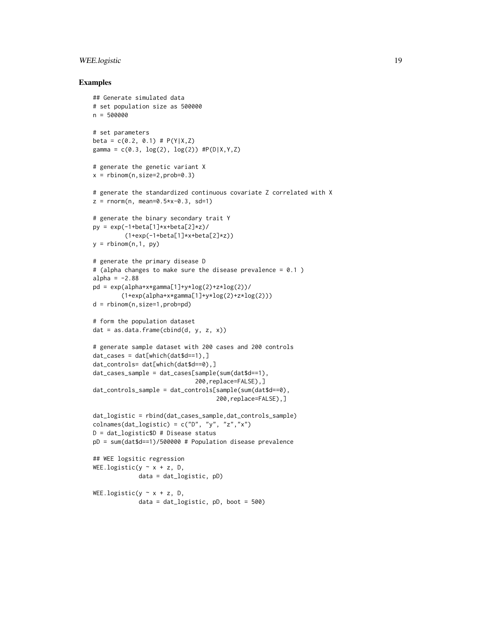#### WEE.logistic 19

#### Examples

```
## Generate simulated data
# set population size as 500000
n = 500000
# set parameters
beta = c(0.2, 0.1) # P(Y|X,Z)gamma = c(0.3, \log(2), \log(2)) #P(D|X,Y,Z)
# generate the genetic variant X
x = rbinom(n, size=2, prob=0.3)
# generate the standardized continuous covariate Z correlated with X
z = rnorm(n, mean=0.5*x-0.3, sd=1)# generate the binary secondary trait Y
py = exp(-1 + beta[1] * x + beta[2] * z)/
         (1+exp(-1+beta[1]*x+beta[2]*z))
y = rbinom(n, 1, py)# generate the primary disease D
# (alpha changes to make sure the disease prevalence = 0.1 )
alpha = -2.88pd = exp(alpha+x*gamma[1]+y*log(2)+z*log(2))/
        (1+exp(alpha+x*gamma[1]+y*log(2)+z*log(2)))
d = rbinom(n,size=1,prob=pd)
# form the population dataset
dat = as.data.frame(cbind(d, y, z, x))
# generate sample dataset with 200 cases and 200 controls
dat\_cases = dat[which(data$d==1),]dat_controls= dat[which(dat$d==0),]
dat_cases_sample = dat_cases[sample(sum(dat$d==1),
                             200,replace=FALSE),]
dat_controls_sample = dat_controls[sample(sum(dat$d==0),
                                   200,replace=FALSE),]
dat_logistic = rbind(dat_cases_sample,dat_controls_sample)
colnames(dat_logistic) = c("D", "y", "z", "x")D = dat_logistic$D # Disease status
pD = sum(dat$d==1)/500000 # Population disease prevalence
## WEE logsitic regression
WEE.logistic(y \sim x + z, D,
             data = dat_logistic, pD)
WEE.logistic(y \sim x + z, D,
             data = dat_logistic, pD, boot = 500)
```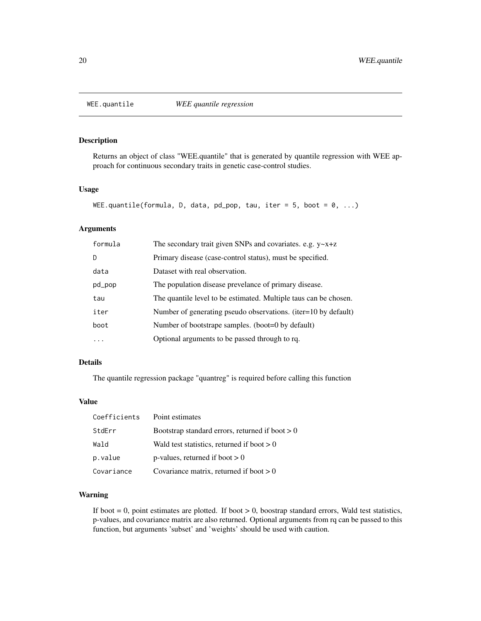<span id="page-19-1"></span><span id="page-19-0"></span>

#### Description

Returns an object of class "WEE.quantile" that is generated by quantile regression with WEE approach for continuous secondary traits in genetic case-control studies.

#### Usage

```
WEE.quantile(formula, D, data, pd_pop, tau, iter = 5, boot = 0, ...)
```
#### Arguments

| formula | The secondary trait given SNPs and covariates. e.g. $y \sim x + z$ |
|---------|--------------------------------------------------------------------|
| D       | Primary disease (case-control status), must be specified.          |
| data    | Dataset with real observation.                                     |
| pd_pop  | The population disease prevelance of primary disease.              |
| tau     | The quantile level to be estimated. Multiple taus can be chosen.   |
| iter    | Number of generating pseudo observations. (iter=10 by default)     |
| boot    | Number of bootstrape samples. (boot=0 by default)                  |
|         | Optional arguments to be passed through to rq.                     |

#### Details

The quantile regression package "quantreg" is required before calling this function

#### Value

| Coefficients | Point estimates                                   |
|--------------|---------------------------------------------------|
| StdErr       | Bootstrap standard errors, returned if boot $> 0$ |
| Wald         | Wald test statistics, returned if boot $> 0$      |
| p.value      | p-values, returned if boot $> 0$                  |
| Covariance   | Covariance matrix, returned if boot $> 0$         |

#### Warning

If boot  $= 0$ , point estimates are plotted. If boot  $> 0$ , boostrap standard errors, Wald test statistics, p-values, and covariance matrix are also returned. Optional arguments from rq can be passed to this function, but arguments 'subset' and 'weights' should be used with caution.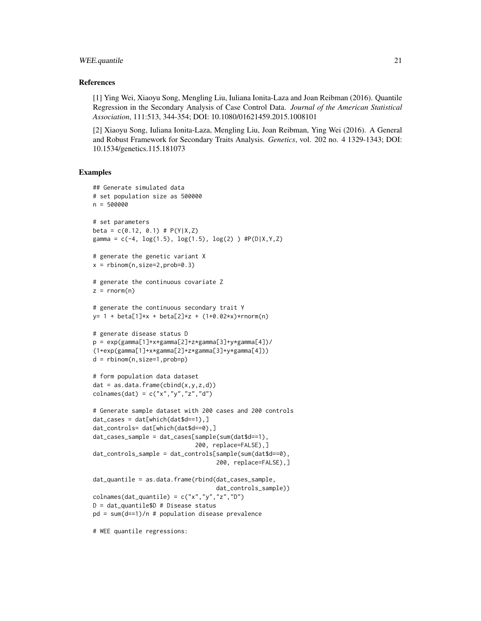#### WEE.quantile 21

#### References

[1] Ying Wei, Xiaoyu Song, Mengling Liu, Iuliana Ionita-Laza and Joan Reibman (2016). Quantile Regression in the Secondary Analysis of Case Control Data. *Journal of the American Statistical Association*, 111:513, 344-354; DOI: 10.1080/01621459.2015.1008101

[2] Xiaoyu Song, Iuliana Ionita-Laza, Mengling Liu, Joan Reibman, Ying Wei (2016). A General and Robust Framework for Secondary Traits Analysis. *Genetics*, vol. 202 no. 4 1329-1343; DOI: 10.1534/genetics.115.181073

#### Examples

```
## Generate simulated data
# set population size as 500000
n = 500000
# set parameters
beta = c(0.12, 0.1) # P(Y|X,Z)gamma = c(-4, \log(1.5), \log(1.5), \log(2)) #P(D|X,Y,Z)
# generate the genetic variant X
x = rbinom(n, size=2, prob=0.3)
# generate the continuous covariate Z
z = rnorm(n)# generate the continuous secondary trait Y
y= 1 + \text{beta}[1]*x + \text{beta}[2]*z + (1+0.02+x)*rnorm(n)# generate disease status D
p = exp(gamma[1]+x*gamma[2]+z*gamma[3]+y*gamma[4])/(1+exp(gamma[1]+x*gamma[2]+z*gamma[3]+y*gamma[4]))
d = rbinom(n,size=1,prob=p)
# form population data dataset
dat = as.data-frame(cbind(x,y,z,d))colnames(dat) = c("x", "y", "z", "d")# Generate sample dataset with 200 cases and 200 controls
dat\_cases = dat[which(data$d==1),]dat_controls= dat[which(dat$d==0),]
dat_cases_sample = dat_cases[sample(sum(dat$d==1),
                             200, replace=FALSE),]
dat_controls_sample = dat_controls[sample(sum(dat$d==0),
                                    200, replace=FALSE),]
dat_quantile = as.data.frame(rbind(dat_cases_sample,
                                    dat_controls_sample))
colnames(dat_quantile) = c("x", "y", "z", "D")D = dat_quantile$D # Disease status
pd = sum(d==1)/n # population disease prevalence
```
# WEE quantile regressions: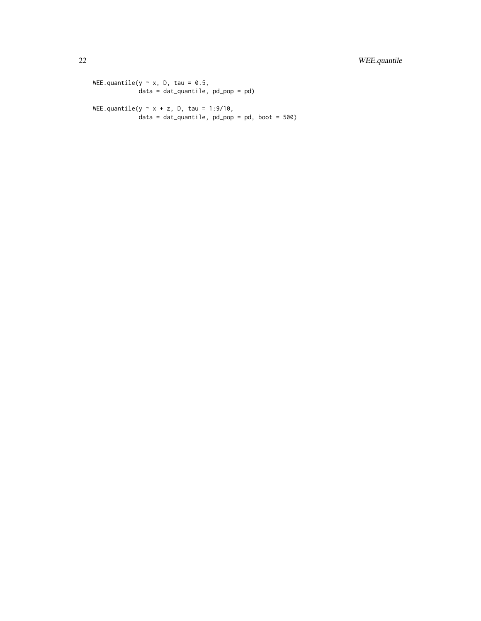22 WEE.quantile

WEE.quantile(y  $\sim$  x, D, tau = 0.5, data = dat\_quantile, pd\_pop = pd) WEE.quantile(y  $\sim$  x + z, D, tau = 1:9/10,

 $data = dat_quantile$ ,  $pd_pop = pd$ , boot = 500)